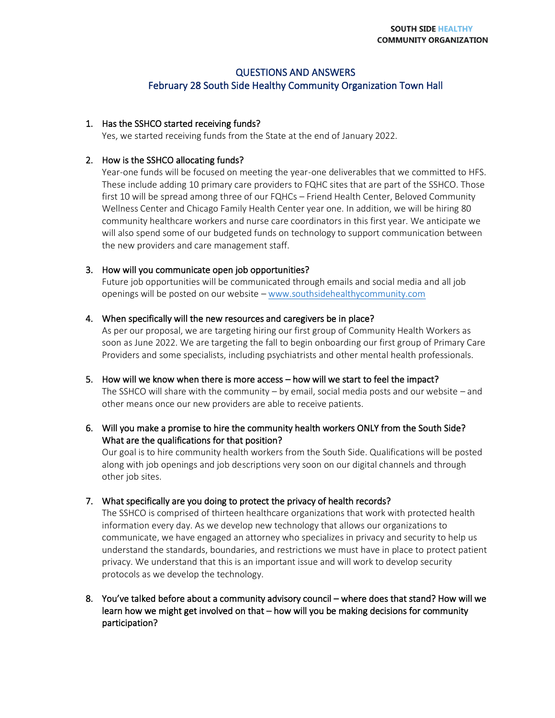# QUESTIONS AND ANSWERS

# February 28 South Side Healthy Community Organization Town Hall

#### 1. Has the SSHCO started receiving funds?

Yes, we started receiving funds from the State at the end of January 2022.

#### 2. How is the SSHCO allocating funds?

Year-one funds will be focused on meeting the year-one deliverables that we committed to HFS. These include adding 10 primary care providers to FQHC sites that are part of the SSHCO. Those first 10 will be spread among three of our FQHCs – Friend Health Center, Beloved Community Wellness Center and Chicago Family Health Center year one. In addition, we will be hiring 80 community healthcare workers and nurse care coordinators in this first year. We anticipate we will also spend some of our budgeted funds on technology to support communication between the new providers and care management staff.

#### 3. How will you communicate open job opportunities?

Future job opportunities will be communicated through emails and social media and all job openings will be posted on our website – [www.southsidehealthycommunity.com](https://southsidehealthycommunity.com/)

#### 4. When specifically will the new resources and caregivers be in place?

As per our proposal, we are targeting hiring our first group of Community Health Workers as soon as June 2022. We are targeting the fall to begin onboarding our first group of Primary Care Providers and some specialists, including psychiatrists and other mental health professionals.

5. How will we know when there is more access – how will we start to feel the impact? The SSHCO will share with the community – by email, social media posts and our website – and other means once our new providers are able to receive patients.

# 6. Will you make a promise to hire the community health workers ONLY from the South Side? What are the qualifications for that position?

Our goal is to hire community health workers from the South Side. Qualifications will be posted along with job openings and job descriptions very soon on our digital channels and through other job sites.

# 7. What specifically are you doing to protect the privacy of health records?

The SSHCO is comprised of thirteen healthcare organizations that work with protected health information every day. As we develop new technology that allows our organizations to communicate, we have engaged an attorney who specializes in privacy and security to help us understand the standards, boundaries, and restrictions we must have in place to protect patient privacy. We understand that this is an important issue and will work to develop security protocols as we develop the technology.

# 8. You've talked before about a community advisory council – where does that stand? How will we learn how we might get involved on that – how will you be making decisions for community participation?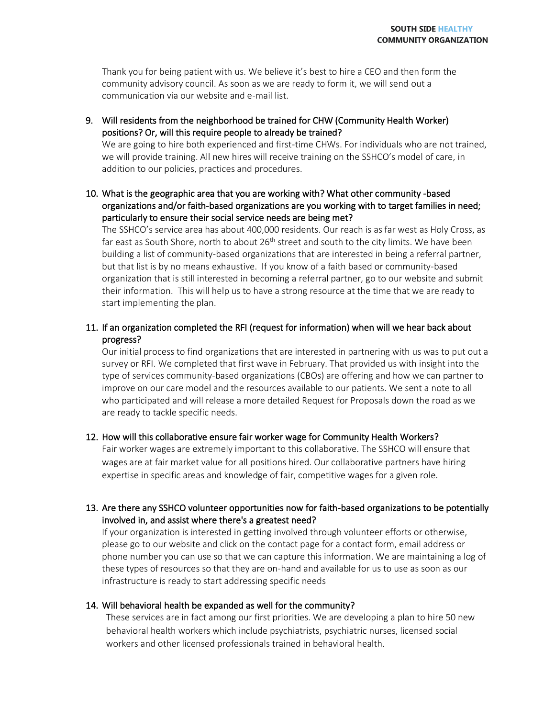Thank you for being patient with us. We believe it's best to hire a CEO and then form the community advisory council. As soon as we are ready to form it, we will send out a communication via our website and e-mail list.

9. Will residents from the neighborhood be trained for CHW (Community Health Worker) positions? Or, will this require people to already be trained?

We are going to hire both experienced and first-time CHWs. For individuals who are not trained, we will provide training. All new hires will receive training on the SSHCO's model of care, in addition to our policies, practices and procedures.

10. What is the geographic area that you are working with? What other community -based organizations and/or faith-based organizations are you working with to target families in need; particularly to ensure their social service needs are being met?

The SSHCO's service area has about 400,000 residents. Our reach is as far west as Holy Cross, as far east as South Shore, north to about  $26<sup>th</sup>$  street and south to the city limits. We have been building a list of community-based organizations that are interested in being a referral partner, but that list is by no means exhaustive. If you know of a faith based or community-based organization that is still interested in becoming a referral partner, go to our website and submit their information. This will help us to have a strong resource at the time that we are ready to start implementing the plan.

11. If an organization completed the RFI (request for information) when will we hear back about progress?

Our initial process to find organizations that are interested in partnering with us was to put out a survey or RFI. We completed that first wave in February. That provided us with insight into the type of services community-based organizations (CBOs) are offering and how we can partner to improve on our care model and the resources available to our patients. We sent a note to all who participated and will release a more detailed Request for Proposals down the road as we are ready to tackle specific needs.

#### 12. How will this collaborative ensure fair worker wage for Community Health Workers?

Fair worker wages are extremely important to this collaborative. The SSHCO will ensure that wages are at fair market value for all positions hired. Our collaborative partners have hiring expertise in specific areas and knowledge of fair, competitive wages for a given role.

# 13. Are there any SSHCO volunteer opportunities now for faith-based organizations to be potentially involved in, and assist where there's a greatest need?

If your organization is interested in getting involved through volunteer efforts or otherwise, please go to our website and click on the contact page for a contact form, email address or phone number you can use so that we can capture this information. We are maintaining a log of these types of resources so that they are on-hand and available for us to use as soon as our infrastructure is ready to start addressing specific needs

#### 14. Will behavioral health be expanded as well for the community?

These services are in fact among our first priorities. We are developing a plan to hire 50 new behavioral health workers which include psychiatrists, psychiatric nurses, licensed social workers and other licensed professionals trained in behavioral health.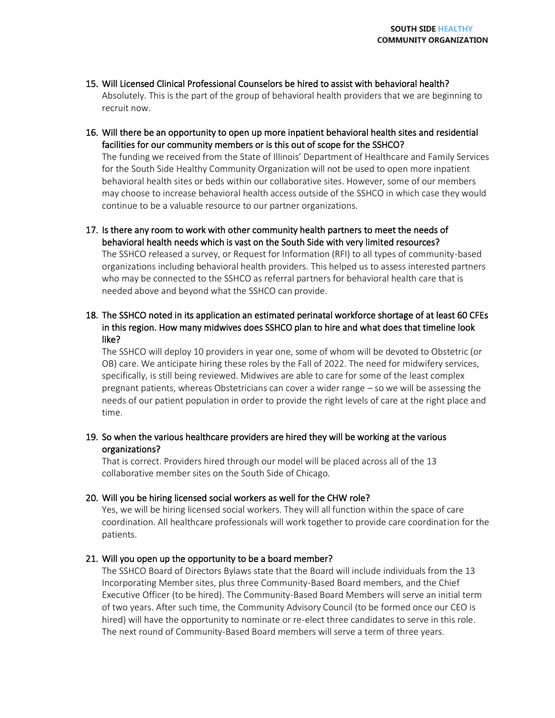- 15. Will Licensed Clinical Professional Counselors be hired to assist with behavioral health? Absolutely. This is the part of the group of behavioral health providers that we are beginning to recruit now.
- 16. Will there be an opportunity to open up more inpatient behavioral health sites and residential facilities for our community members or is this out of scope for the SSHCO?

The funding we received from the State of Illinois' Department of Healthcare and Family Services for the South Side Healthy Community Organization will not be used to open more inpatient behavioral health sites or beds within our collaborative sites. However, some of our members may choose to increase behavioral health access outside of the SSHCO in which case they would continue to be a valuable resource to our partner organizations.

17. Is there any room to work with other community health partners to meet the needs of behavioral health needs which is vast on the South Side with very limited resources? The SSHCO released a survey, or Request for Information (RFI) to all types of community-based organizations including behavioral health providers. This helped us to assess interested partners who may be connected to the SSHCO as referral partners for behavioral health care that is needed above and beyond what the SSHCO can provide.

18. The SSHCO noted in its application an estimated perinatal workforce shortage of at least 60 CFEs in this region. How many midwives does SSHCO plan to hire and what does that timeline look like?

The SSHCO will deploy 10 providers in year one, some of whom will be devoted to Obstetric (or OB) care. We anticipate hiring these roles by the Fall of 2022. The need for midwifery services, specifically, is still being reviewed. Midwives are able to care for some of the least complex pregnant patients, whereas Obstetricians can cover a wider range – so we will be assessing the needs of our patient population in order to provide the right levels of care at the right place and time.

19. So when the various healthcare providers are hired they will be working at the various organizations?

That is correct. Providers hired through our model will be placed across all of the 13 collaborative member sites on the South Side of Chicago.

20. Will you be hiring licensed social workers as well for the CHW role?

Yes, we will be hiring licensed social workers. They will all function within the space of care coordination. All healthcare professionals will work together to provide care coordination for the patients.

# 21. Will you open up the opportunity to be a board member?

The SSHCO Board of Directors Bylaws state that the Board will include individuals from the 13 Incorporating Member sites, plus three Community-Based Board members, and the Chief Executive Officer (to be hired). The Community-Based Board Members will serve an initial term of two years. After such time, the Community Advisory Council (to be formed once our CEO is hired) will have the opportunity to nominate or re-elect three candidates to serve in this role. The next round of Community-Based Board members will serve a term of three years.